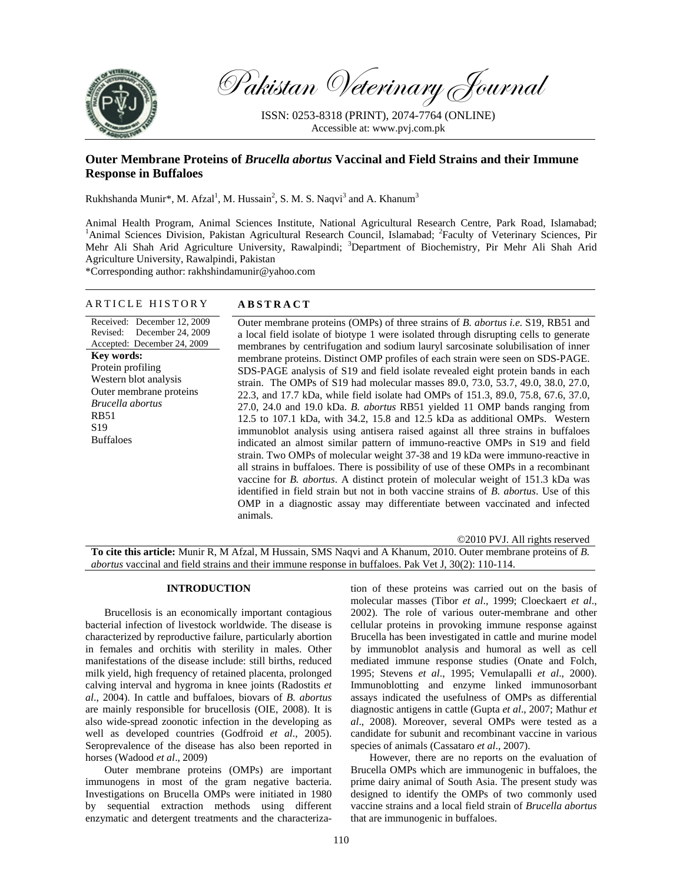

Pakistan Veterinary Journal

ISSN: 0253-8318 (PRINT), 2074-7764 (ONLINE) Accessible at: www.pvj.com.pk

# **Outer Membrane Proteins of** *Brucella abortus* **Vaccinal and Field Strains and their Immune Response in Buffaloes**

Rukhshanda Munir\*, M. Afzal<sup>1</sup>, M. Hussain<sup>2</sup>, S. M. S. Naqvi<sup>3</sup> and A. Khanum<sup>3</sup>

Animal Health Program, Animal Sciences Institute, National Agricultural Research Centre, Park Road, Islamabad; <sup>1</sup>Animal Sciences Division, Pakistan Agricultural Research Council, Islamabad; <sup>2</sup>Faculty of Veterinary Sciences, Pir Mehr Ali Shah Arid Agriculture University, Rawalpindi; <sup>3</sup>Department of Biochemistry, Pir Mehr Ali Shah Arid Agriculture University, Rawalpindi, Pakistan

\*Corresponding author: rakhshindamunir@yahoo.com

# ARTICLE HISTORY **ABSTRACT**

Received: December 12, 2009 Revised: December 24, 2009 Accepted: December 24, 2009 **Key words:**  Protein profiling Western blot analysis Outer membrane proteins *Brucella abortus*  RB51 S19 Buffaloes

Outer membrane proteins (OMPs) of three strains of *B. abortus i.e.* S19, RB51 and a local field isolate of biotype 1 were isolated through disrupting cells to generate membranes by centrifugation and sodium lauryl sarcosinate solubilisation of inner membrane proteins. Distinct OMP profiles of each strain were seen on SDS-PAGE. SDS-PAGE analysis of S19 and field isolate revealed eight protein bands in each strain. The OMPs of S19 had molecular masses 89.0, 73.0, 53.7, 49.0, 38.0, 27.0, 22.3, and 17.7 kDa, while field isolate had OMPs of 151.3, 89.0, 75.8, 67.6, 37.0, 27.0, 24.0 and 19.0 kDa. *B. abortus* RB51 yielded 11 OMP bands ranging from 12.5 to 107.1 kDa, with 34.2, 15.8 and 12.5 kDa as additional OMPs. Western immunoblot analysis using antisera raised against all three strains in buffaloes indicated an almost similar pattern of immuno-reactive OMPs in S19 and field strain. Two OMPs of molecular weight 37-38 and 19 kDa were immuno-reactive in all strains in buffaloes. There is possibility of use of these OMPs in a recombinant vaccine for *B. abortus*. A distinct protein of molecular weight of 151.3 kDa was identified in field strain but not in both vaccine strains of *B. abortus*. Use of this OMP in a diagnostic assay may differentiate between vaccinated and infected animals.

©2010 PVJ. All rights reserved **To cite this article:** Munir R, M Afzal, M Hussain, SMS Naqvi and A Khanum, 2010. Outer membrane proteins of *B. abortus* vaccinal and field strains and their immune response in buffaloes. Pak Vet J, 30(2): 110-114.

# **INTRODUCTION**

Brucellosis is an economically important contagious bacterial infection of livestock worldwide. The disease is characterized by reproductive failure, particularly abortion in females and orchitis with sterility in males. Other manifestations of the disease include: still births, reduced milk yield, high frequency of retained placenta, prolonged calving interval and hygroma in knee joints (Radostits *et al*., 2004). In cattle and buffaloes, biovars of *B. abortus* are mainly responsible for brucellosis (OIE, 2008). It is also wide-spread zoonotic infection in the developing as well as developed countries (Godfroid *et al*., 2005). Seroprevalence of the disease has also been reported in horses (Wadood *et al*., 2009)

Outer membrane proteins (OMPs) are important immunogens in most of the gram negative bacteria. Investigations on Brucella OMPs were initiated in 1980 by sequential extraction methods using different enzymatic and detergent treatments and the characterization of these proteins was carried out on the basis of molecular masses (Tibor *et al*., 1999; Cloeckaert *et al*., 2002). The role of various outer-membrane and other cellular proteins in provoking immune response against Brucella has been investigated in cattle and murine model by immunoblot analysis and humoral as well as cell mediated immune response studies (Onate and Folch, 1995; Stevens *et al*., 1995; Vemulapalli *et al*., 2000). Immunoblotting and enzyme linked immunosorbant assays indicated the usefulness of OMPs as differential diagnostic antigens in cattle (Gupta *et al*., 2007; Mathur *et al*., 2008). Moreover, several OMPs were tested as a candidate for subunit and recombinant vaccine in various species of animals (Cassataro *et al*., 2007).

However, there are no reports on the evaluation of Brucella OMPs which are immunogenic in buffaloes, the prime dairy animal of South Asia. The present study was designed to identify the OMPs of two commonly used vaccine strains and a local field strain of *Brucella abortus* that are immunogenic in buffaloes.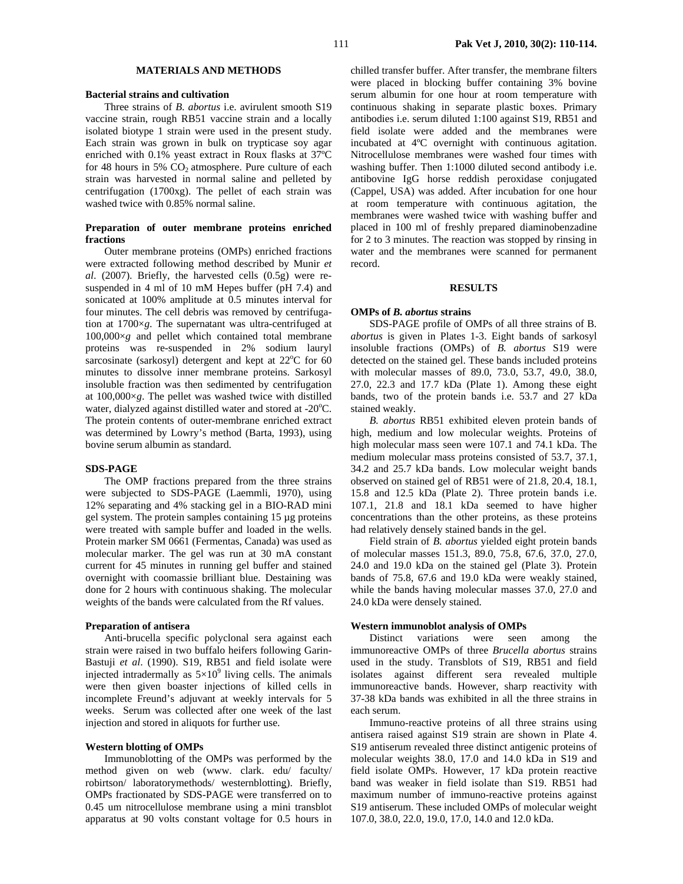# **MATERIALS AND METHODS**

#### **Bacterial strains and cultivation**

Three strains of *B*. *abortus* i.e. avirulent smooth S19 vaccine strain, rough RB51 vaccine strain and a locally isolated biotype 1 strain were used in the present study. Each strain was grown in bulk on trypticase soy agar enriched with 0.1% yeast extract in Roux flasks at 37ºC for 48 hours in 5%  $CO<sub>2</sub>$  atmosphere. Pure culture of each strain was harvested in normal saline and pelleted by centrifugation (1700xg). The pellet of each strain was washed twice with 0.85% normal saline.

# **Preparation of outer membrane proteins enriched fractions**

Outer membrane proteins (OMPs) enriched fractions were extracted following method described by Munir *et al*. (2007). Briefly, the harvested cells (0.5g) were resuspended in 4 ml of 10 mM Hepes buffer (pH 7.4) and sonicated at 100% amplitude at 0.5 minutes interval for four minutes. The cell debris was removed by centrifugation at 1700×*g*. The supernatant was ultra-centrifuged at  $100,000\times g$  and pellet which contained total membrane proteins was re-suspended in 2% sodium lauryl sarcosinate (sarkosyl) detergent and kept at  $22^{\circ}$ C for 60 minutes to dissolve inner membrane proteins. Sarkosyl insoluble fraction was then sedimented by centrifugation at 100,000×*g*. The pellet was washed twice with distilled water, dialyzed against distilled water and stored at -20°C. The protein contents of outer-membrane enriched extract was determined by Lowry's method (Barta, 1993), using bovine serum albumin as standard.

#### **SDS-PAGE**

The OMP fractions prepared from the three strains were subjected to SDS-PAGE (Laemmli, 1970), using 12% separating and 4% stacking gel in a BIO-RAD mini gel system. The protein samples containing 15 µg proteins were treated with sample buffer and loaded in the wells. Protein marker SM 0661 (Fermentas, Canada) was used as molecular marker. The gel was run at 30 mA constant current for 45 minutes in running gel buffer and stained overnight with coomassie brilliant blue. Destaining was done for 2 hours with continuous shaking. The molecular weights of the bands were calculated from the Rf values.

# **Preparation of antisera**

Anti-brucella specific polyclonal sera against each strain were raised in two buffalo heifers following Garin-Bastuji *et al*. (1990). S19, RB51 and field isolate were injected intradermally as  $5 \times 10^9$  living cells. The animals were then given boaster injections of killed cells in incomplete Freund's adjuvant at weekly intervals for 5 weeks. Serum was collected after one week of the last injection and stored in aliquots for further use.

# **Western blotting of OMPs**

Immunoblotting of the OMPs was performed by the method given on web (www. clark. edu/ faculty/ robirtson/ laboratorymethods/ westernblotting). Briefly, OMPs fractionated by SDS-PAGE were transferred on to 0.45 um nitrocellulose membrane using a mini transblot apparatus at 90 volts constant voltage for 0.5 hours in

chilled transfer buffer. After transfer, the membrane filters were placed in blocking buffer containing 3% bovine serum albumin for one hour at room temperature with continuous shaking in separate plastic boxes. Primary antibodies i.e. serum diluted 1:100 against S19, RB51 and field isolate were added and the membranes were incubated at 4ºC overnight with continuous agitation. Nitrocellulose membranes were washed four times with washing buffer. Then 1:1000 diluted second antibody i.e. antibovine IgG horse reddish peroxidase conjugated (Cappel, USA) was added. After incubation for one hour at room temperature with continuous agitation, the membranes were washed twice with washing buffer and placed in 100 ml of freshly prepared diaminobenzadine for 2 to 3 minutes. The reaction was stopped by rinsing in water and the membranes were scanned for permanent record.

## **RESULTS**

## **OMPs of** *B. abortus* **strains**

SDS-PAGE profile of OMPs of all three strains of B*. abortus* is given in Plates 1-3. Eight bands of sarkosyl insoluble fractions (OMPs) of *B. abortus* S19 were detected on the stained gel. These bands included proteins with molecular masses of 89.0, 73.0, 53.7, 49.0, 38.0, 27.0, 22.3 and 17.7 kDa (Plate 1). Among these eight bands, two of the protein bands i.e. 53.7 and 27 kDa stained weakly.

*B. abortus* RB51 exhibited eleven protein bands of high, medium and low molecular weights. Proteins of high molecular mass seen were 107.1 and 74.1 kDa. The medium molecular mass proteins consisted of 53.7, 37.1, 34.2 and 25.7 kDa bands. Low molecular weight bands observed on stained gel of RB51 were of 21.8, 20.4, 18.1, 15.8 and 12.5 kDa (Plate 2). Three protein bands i.e. 107.1, 21.8 and 18.1 kDa seemed to have higher concentrations than the other proteins, as these proteins had relatively densely stained bands in the gel.

Field strain of *B. abortus* yielded eight protein bands of molecular masses 151.3, 89.0, 75.8, 67.6, 37.0, 27.0, 24.0 and 19.0 kDa on the stained gel (Plate 3). Protein bands of 75.8, 67.6 and 19.0 kDa were weakly stained, while the bands having molecular masses 37.0, 27.0 and 24.0 kDa were densely stained.

#### **Western immunoblot analysis of OMPs**

Distinct variations were seen among the immunoreactive OMPs of three *Brucella abortus* strains used in the study. Transblots of S19, RB51 and field isolates against different sera revealed multiple immunoreactive bands. However, sharp reactivity with 37-38 kDa bands was exhibited in all the three strains in each serum.

Immuno-reactive proteins of all three strains using antisera raised against S19 strain are shown in Plate 4. S19 antiserum revealed three distinct antigenic proteins of molecular weights 38.0, 17.0 and 14.0 kDa in S19 and field isolate OMPs. However, 17 kDa protein reactive band was weaker in field isolate than S19. RB51 had maximum number of immuno-reactive proteins against S19 antiserum. These included OMPs of molecular weight 107.0, 38.0, 22.0, 19.0, 17.0, 14.0 and 12.0 kDa.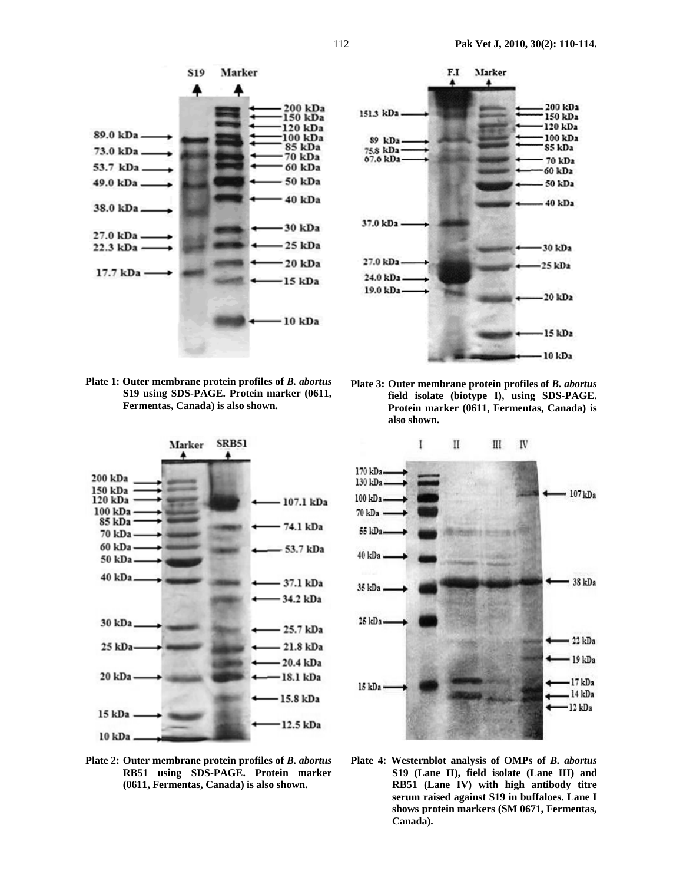



**Plate 1: Outer membrane protein profiles of** *B. abortus* **S19 using SDS-PAGE. Protein marker (0611, Fermentas, Canada) is also shown.** 



**Plate 2: Outer membrane protein profiles of** *B. abortus* **RB51 using SDS-PAGE. Protein marker (0611, Fermentas, Canada) is also shown.** 

**Plate 3: Outer membrane protein profiles of** *B. abortus*  **field isolate (biotype I), using SDS-PAGE. Protein marker (0611, Fermentas, Canada) is also shown.** 



**Plate 4: Westernblot analysis of OMPs of** *B. abortus*  **S19 (Lane II), field isolate (Lane III) and RB51 (Lane IV) with high antibody titre serum raised against S19 in buffaloes. Lane I shows protein markers (SM 0671, Fermentas, Canada).**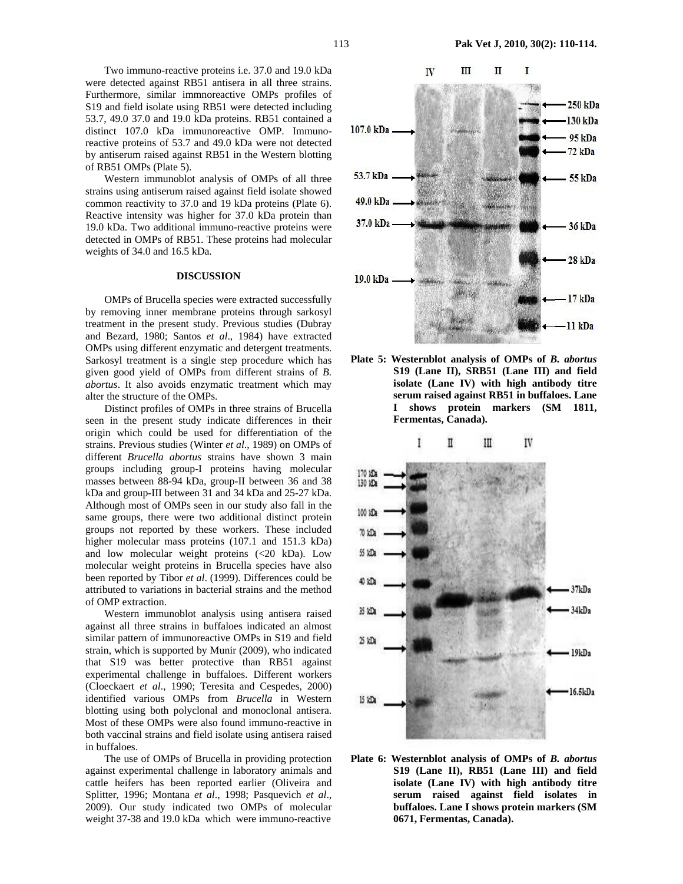Two immuno-reactive proteins i.e. 37.0 and 19.0 kDa were detected against RB51 antisera in all three strains. Furthermore, similar immnoreactive OMPs profiles of S19 and field isolate using RB51 were detected including 53.7, 49.0 37.0 and 19.0 kDa proteins. RB51 contained a distinct 107.0 kDa immunoreactive OMP. Immunoreactive proteins of 53.7 and 49.0 kDa were not detected by antiserum raised against RB51 in the Western blotting of RB51 OMPs (Plate 5).

Western immunoblot analysis of OMPs of all three strains using antiserum raised against field isolate showed common reactivity to 37.0 and 19 kDa proteins (Plate 6). Reactive intensity was higher for 37.0 kDa protein than 19.0 kDa. Two additional immuno-reactive proteins were detected in OMPs of RB51. These proteins had molecular weights of 34.0 and 16.5 kDa.

### **DISCUSSION**

OMPs of Brucella species were extracted successfully by removing inner membrane proteins through sarkosyl treatment in the present study. Previous studies (Dubray and Bezard, 1980; Santos *et al*., 1984) have extracted OMPs using different enzymatic and detergent treatments. Sarkosyl treatment is a single step procedure which has given good yield of OMPs from different strains of *B. abortus*. It also avoids enzymatic treatment which may alter the structure of the OMPs.

Distinct profiles of OMPs in three strains of Brucella seen in the present study indicate differences in their origin which could be used for differentiation of the strains. Previous studies (Winter *et al*., 1989) on OMPs of different *Brucella abortus* strains have shown 3 main groups including group-I proteins having molecular masses between 88-94 kDa, group-II between 36 and 38 kDa and group-III between 31 and 34 kDa and 25-27 kDa. Although most of OMPs seen in our study also fall in the same groups, there were two additional distinct protein groups not reported by these workers. These included higher molecular mass proteins (107.1 and 151.3 kDa) and low molecular weight proteins (<20 kDa). Low molecular weight proteins in Brucella species have also been reported by Tibor *et al*. (1999). Differences could be attributed to variations in bacterial strains and the method of OMP extraction.

Western immunoblot analysis using antisera raised against all three strains in buffaloes indicated an almost similar pattern of immunoreactive OMPs in S19 and field strain, which is supported by Munir (2009), who indicated that S19 was better protective than RB51 against experimental challenge in buffaloes. Different workers (Cloeckaert *et al*., 1990; Teresita and Cespedes, 2000) identified various OMPs from *Brucella* in Western blotting using both polyclonal and monoclonal antisera. Most of these OMPs were also found immuno-reactive in both vaccinal strains and field isolate using antisera raised in buffaloes.

The use of OMPs of Brucella in providing protection against experimental challenge in laboratory animals and cattle heifers has been reported earlier (Oliveira and Splitter, 1996; Montana *et al*., 1998; Pasquevich *et al*., 2009). Our study indicated two OMPs of molecular weight 37-38 and 19.0 kDa which were immuno-reactive



**Plate 5: Westernblot analysis of OMPs of** *B. abortus* **S19 (Lane II), SRB51 (Lane III) and field isolate (Lane IV) with high antibody titre serum raised against RB51 in buffaloes. Lane I shows protein markers (SM 1811, Fermentas, Canada).** 



**Plate 6: Westernblot analysis of OMPs of** *B. abortus* **S19 (Lane II), RB51 (Lane III) and field isolate (Lane IV) with high antibody titre serum raised against field isolates in buffaloes. Lane I shows protein markers (SM 0671, Fermentas, Canada).**